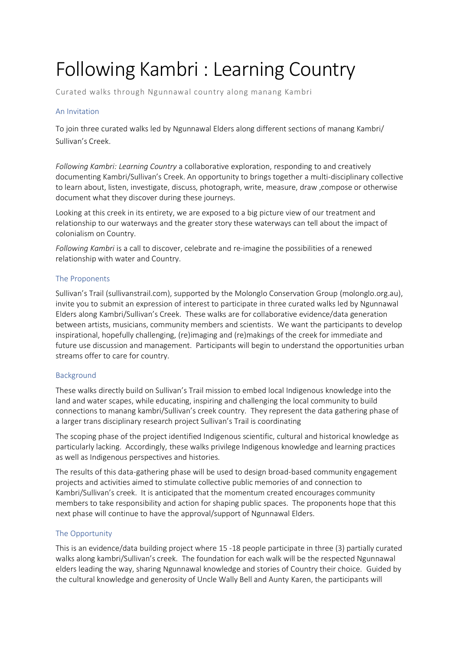# Following Kambri : Learning Country

Curated walks through Ngunnawal country along manang Kambri

## An Invitation

To join three curated walks led by Ngunnawal Elders along different sections of manang Kambri/ Sullivan's Creek.

*Following Kambri: Learning Country* a collaborative exploration, responding to and creatively documenting Kambri/Sullivan's Creek. An opportunity to brings together a multi-disciplinary collective to learn about, listen, investigate, discuss, photograph, write, measure, draw ,compose or otherwise document what they discover during these journeys.

Looking at this creek in its entirety, we are exposed to a big picture view of our treatment and relationship to our waterways and the greater story these waterways can tell about the impact of colonialism on Country.

*Following Kambri* is a call to discover, celebrate and re-imagine the possibilities of a renewed relationship with water and Country.

## The Proponents

Sullivan's Trail (sullivanstrail.com), supported by the Molonglo Conservation Group (molonglo.org.au), invite you to submit an expression of interest to participate in three curated walks led by Ngunnawal Elders along Kambri/Sullivan's Creek. These walks are for collaborative evidence/data generation between artists, musicians, community members and scientists. We want the participants to develop inspirational, hopefully challenging, (re)imaging and (re)makings of the creek for immediate and future use discussion and management. Participants will begin to understand the opportunities urban streams offer to care for country.

#### Background

These walks directly build on Sullivan's Trail mission to embed local Indigenous knowledge into the land and water scapes, while educating, inspiring and challenging the local community to build connections to manang kambri/Sullivan's creek country. They represent the data gathering phase of a larger trans disciplinary research project Sullivan's Trail is coordinating

The scoping phase of the project identified Indigenous scientific, cultural and historical knowledge as particularly lacking. Accordingly, these walks privilege Indigenous knowledge and learning practices as well as Indigenous perspectives and histories.

The results of this data-gathering phase will be used to design broad-based community engagement projects and activities aimed to stimulate collective public memories of and connection to Kambri/Sullivan's creek. It is anticipated that the momentum created encourages community members to take responsibility and action for shaping public spaces. The proponents hope that this next phase will continue to have the approval/support of Ngunnawal Elders.

# The Opportunity

This is an evidence/data building project where 15 -18 people participate in three (3) partially curated walks along kambri/Sullivan's creek. The foundation for each walk will be the respected Ngunnawal elders leading the way, sharing Ngunnawal knowledge and stories of Country their choice. Guided by the cultural knowledge and generosity of Uncle Wally Bell and Aunty Karen, the participants will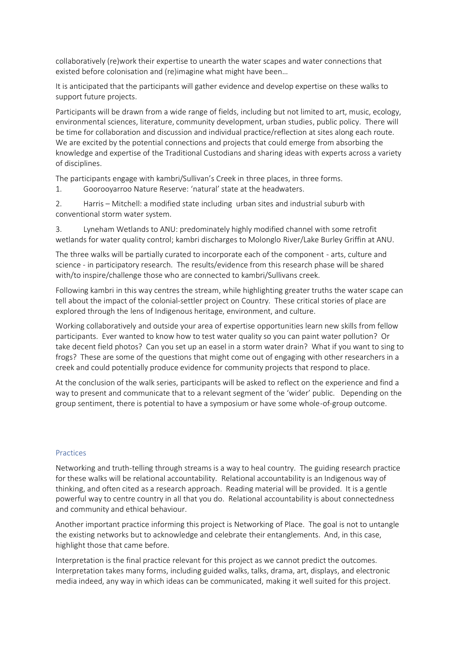collaboratively (re)work their expertise to unearth the water scapes and water connections that existed before colonisation and (re)imagine what might have been…

It is anticipated that the participants will gather evidence and develop expertise on these walks to support future projects.

Participants will be drawn from a wide range of fields, including but not limited to art, music, ecology, environmental sciences, literature, community development, urban studies, public policy. There will be time for collaboration and discussion and individual practice/reflection at sites along each route. We are excited by the potential connections and projects that could emerge from absorbing the knowledge and expertise of the Traditional Custodians and sharing ideas with experts across a variety of disciplines.

The participants engage with kambri/Sullivan's Creek in three places, in three forms.

1. Goorooyarroo Nature Reserve: 'natural' state at the headwaters.

2. Harris – Mitchell: a modified state including urban sites and industrial suburb with conventional storm water system.

3. Lyneham Wetlands to ANU: predominately highly modified channel with some retrofit wetlands for water quality control; kambri discharges to Molonglo River/Lake Burley Griffin at ANU.

The three walks will be partially curated to incorporate each of the component - arts, culture and science - in participatory research. The results/evidence from this research phase will be shared with/to inspire/challenge those who are connected to kambri/Sullivans creek.

Following kambri in this way centres the stream, while highlighting greater truths the water scape can tell about the impact of the colonial-settler project on Country. These critical stories of place are explored through the lens of Indigenous heritage, environment, and culture.

Working collaboratively and outside your area of expertise opportunities learn new skills from fellow participants. Ever wanted to know how to test water quality so you can paint water pollution? Or take decent field photos? Can you set up an easel in a storm water drain? What if you want to sing to frogs? These are some of the questions that might come out of engaging with other researchers in a creek and could potentially produce evidence for community projects that respond to place.

At the conclusion of the walk series, participants will be asked to reflect on the experience and find a way to present and communicate that to a relevant segment of the 'wider' public. Depending on the group sentiment, there is potential to have a symposium or have some whole-of-group outcome.

#### Practices

Networking and truth-telling through streams is a way to heal country. The guiding research practice for these walks will be relational accountability. Relational accountability is an Indigenous way of thinking, and often cited as a research approach. Reading material will be provided. It is a gentle powerful way to centre country in all that you do. Relational accountability is about connectedness and community and ethical behaviour.

Another important practice informing this project is Networking of Place. The goal is not to untangle the existing networks but to acknowledge and celebrate their entanglements. And, in this case, highlight those that came before.

Interpretation is the final practice relevant for this project as we cannot predict the outcomes. Interpretation takes many forms, including guided walks, talks, drama, art, displays, and electronic media indeed, any way in which ideas can be communicated, making it well suited for this project.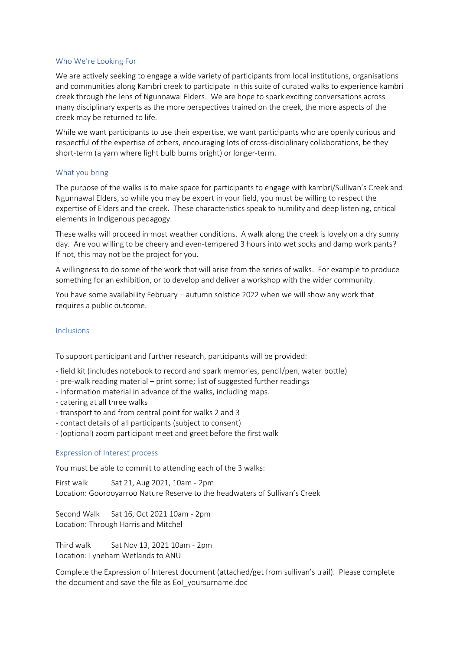#### Who We're Looking For

We are actively seeking to engage a wide variety of participants from local institutions, organisations and communities along Kambri creek to participate in this suite of curated walks to experience kambri creek through the lens of Ngunnawal Elders. We are hope to spark exciting conversations across many disciplinary experts as the more perspectives trained on the creek, the more aspects of the creek may be returned to life.

While we want participants to use their expertise, we want participants who are openly curious and respectful of the expertise of others, encouraging lots of cross-disciplinary collaborations, be they short-term (a yarn where light bulb burns bright) or longer-term.

#### What you bring

The purpose of the walks is to make space for participants to engage with kambri/Sullivan's Creek and Ngunnawal Elders, so while you may be expert in your field, you must be willing to respect the expertise of Elders and the creek. These characteristics speak to humility and deep listening, critical elements in Indigenous pedagogy.

These walks will proceed in most weather conditions. A walk along the creek is lovely on a dry sunny day. Are you willing to be cheery and even-tempered 3 hours into wet socks and damp work pants? If not, this may not be the project for you.

A willingness to do some of the work that will arise from the series of walks. For example to produce something for an exhibition, or to develop and deliver a workshop with the wider community.

You have some availability February – autumn solstice 2022 when we will show any work that requires a public outcome.

#### Inclusions

To support participant and further research, participants will be provided:

- field kit (includes notebook to record and spark memories, pencil/pen, water bottle)
- pre-walk reading material print some; list of suggested further readings
- information material in advance of the walks, including maps.
- catering at all three walks
- transport to and from central point for walks 2 and 3
- contact details of all participants (subject to consent)
- (optional) zoom participant meet and greet before the first walk

#### Expression of Interest process

You must be able to commit to attending each of the 3 walks:

First walk Sat 21, Aug 2021, 10am - 2pm Location: Goorooyarroo Nature Reserve to the headwaters of Sullivan's Creek

Second Walk Sat 16, Oct 2021 10am - 2pm Location: Through Harris and Mitchel

Third walk Sat Nov 13, 2021 10am - 2pm Location: Lyneham Wetlands to ANU

Complete the Expression of Interest document (attached/get from sullivan's trail). Please complete the document and save the file as EoI\_yoursurname.doc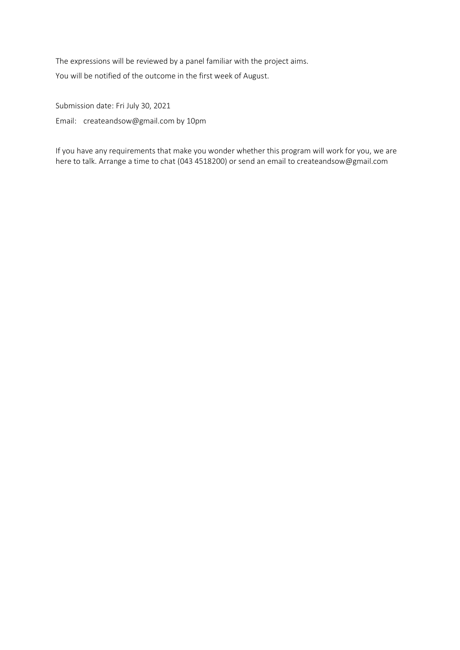The expressions will be reviewed by a panel familiar with the project aims. You will be notified of the outcome in the first week of August.

Submission date: Fri July 30, 2021 Email: createandsow@gmail.com by 10pm

If you have any requirements that make you wonder whether this program will work for you, we are here to talk. Arrange a time to chat (043 4518200) or send an email to createandsow@gmail.com